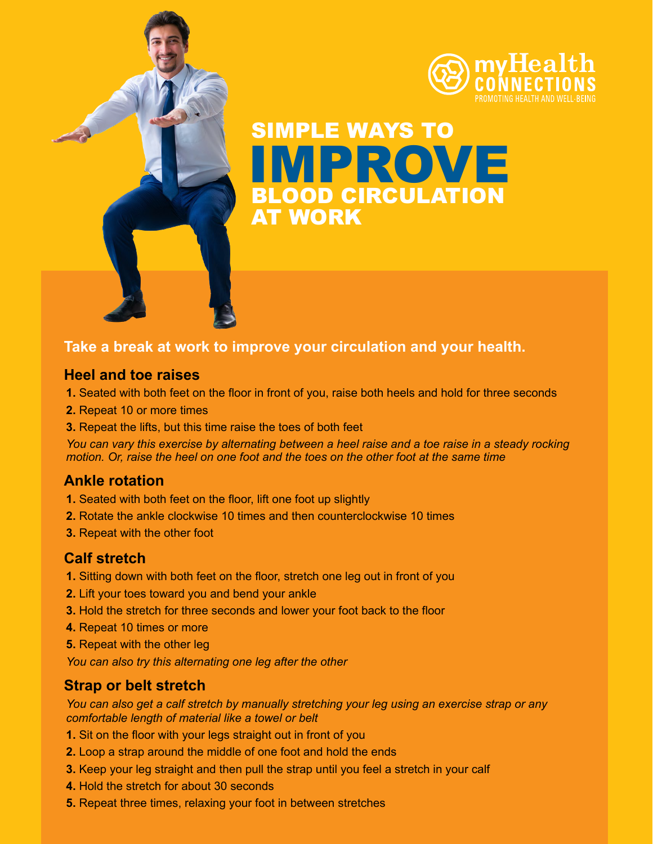

SIMPLE WAYS TO BLOOD CIRCULATION AT WORK IMPROVE

# **Take a break at work to improve your circulation and your health.**

### **Heel and toe raises**

- **1.** Seated with both feet on the floor in front of you, raise both heels and hold for three seconds
- **2.** Repeat 10 or more times
- **3.** Repeat the lifts, but this time raise the toes of both feet

*You can vary this exercise by alternating between a heel raise and a toe raise in a steady rocking motion. Or, raise the heel on one foot and the toes on the other foot at the same time*

# **Ankle rotation**

- **1.** Seated with both feet on the floor, lift one foot up slightly
- **2.** Rotate the ankle clockwise 10 times and then counterclockwise 10 times
- **3.** Repeat with the other foot

# **Calf stretch**

- **1.** Sitting down with both feet on the floor, stretch one leg out in front of you
- **2.** Lift your toes toward you and bend your ankle
- **3.** Hold the stretch for three seconds and lower your foot back to the floor
- **4.** Repeat 10 times or more
- **5.** Repeat with the other leg

*You can also try this alternating one leg after the other*

### **Strap or belt stretch**

*You can also get a calf stretch by manually stretching your leg using an exercise strap or any comfortable length of material like a towel or belt*

- **1.** Sit on the floor with your legs straight out in front of you
- **2.** Loop a strap around the middle of one foot and hold the ends
- **3.** Keep your leg straight and then pull the strap until you feel a stretch in your calf
- **4.** Hold the stretch for about 30 seconds
- **5.** Repeat three times, relaxing your foot in between stretches